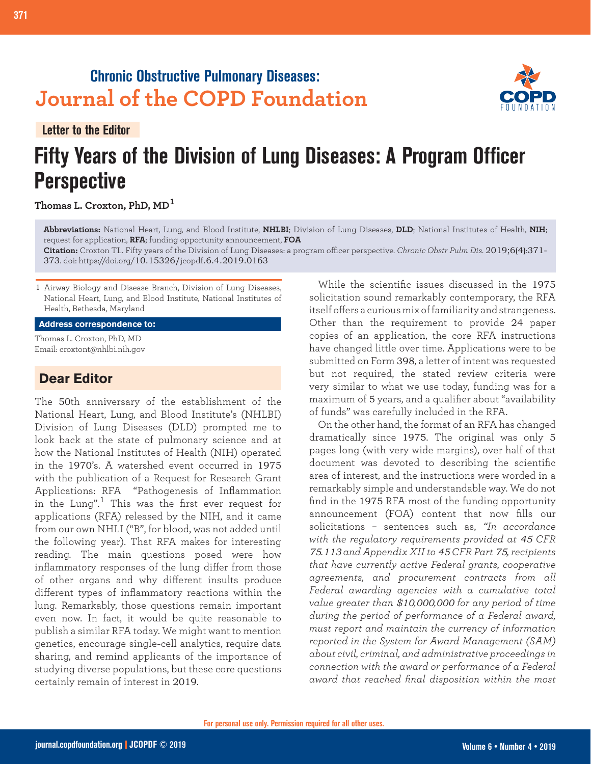# **Chronic Obstructive Pulmonary Diseases: Journal of the COPD Foundation**

**Letter to the Editor**

# **Fifty Years of the Division of Lung Diseases: A Program Officer Perspective**

### **Thomas L. Croxton, PhD, MD<sup>1</sup>**

**Abbreviations:** National Heart, Lung, and Blood Institute, **NHLBI**; Division of Lung Diseases, **DLD**; National Institutes of Health, **NIH**; request for application, **RFA**; funding opportunity announcement, **FOA**

**Citation:** Croxton TL. Fifty years of the Division of Lung Diseases: a program officer perspective. *Chronic Obstr Pulm Dis*. 2019;6(4):371- 373. doi: https://doi.org/10.15326/jcopdf.6.4.2019.0163

1 Airway Biology and Disease Branch, Division of Lung Diseases, National Heart, Lung, and Blood Institute, National Institutes of Health, Bethesda, Maryland

#### **Address correspondence to:**

Thomas L. Croxton, PhD, MD Email: croxtont@nhlbi.nih.gov

## **Dear Editor**

The 50th anniversary of the establishment of the National Heart, Lung, and Blood Institute's (NHLBI) Division of Lung Diseases (DLD) prompted me to look back at the state of pulmonary science and at how the National Institutes of Health (NIH) operated in the 1970's. A watershed event occurred in 1975 with the publication of a Request for Research Grant Applications: RFA "Pathogenesis of Inflammation in the Lung".<sup>1</sup> This was the first ever request for applications (RFA) released by the NIH, and it came from our own NHLI ("B", for blood, was not added until the following year). That RFA makes for interesting reading. The main questions posed were how inflammatory responses of the lung differ from those of other organs and why different insults produce different types of inflammatory reactions within the lung. Remarkably, those questions remain important even now. In fact, it would be quite reasonable to publish a similar RFA today. We might want to mention genetics, encourage single-cell analytics, require data sharing, and remind applicants of the importance of studying diverse populations, but these core questions certainly remain of interest in 2019.

While the scientific issues discussed in the 1975 solicitation sound remarkably contemporary, the RFA itself offers a curious mix of familiarity and strangeness. Other than the requirement to provide 24 paper copies of an application, the core RFA instructions have changed little over time. Applications were to be submitted on Form 398, a letter of intent was requested but not required, the stated review criteria were very similar to what we use today, funding was for a maximum of 5 years, and a qualifier about "availability of funds" was carefully included in the RFA.

On the other hand, the format of an RFA has changed dramatically since 1975. The original was only 5 pages long (with very wide margins), over half of that document was devoted to describing the scientific area of interest, and the instructions were worded in a remarkably simple and understandable way. We do not find in the 1975 RFA most of the funding opportunity announcement (FOA) content that now fills our solicitations – sentences such as, *"In accordance with the regulatory requirements provided at 45 CFR 75.113 and Appendix XII to 45 CFR Part 75, recipients that have currently active Federal grants, cooperative agreements, and procurement contracts from all Federal awarding agencies with a cumulative total value greater than \$10,000,000 for any period of time during the period of performance of a Federal award, must report and maintain the currency of information reported in the System for Award Management (SAM) about civil, criminal, and administrative proceedings in connection with the award or performance of a Federal award that reached final disposition within the most* 

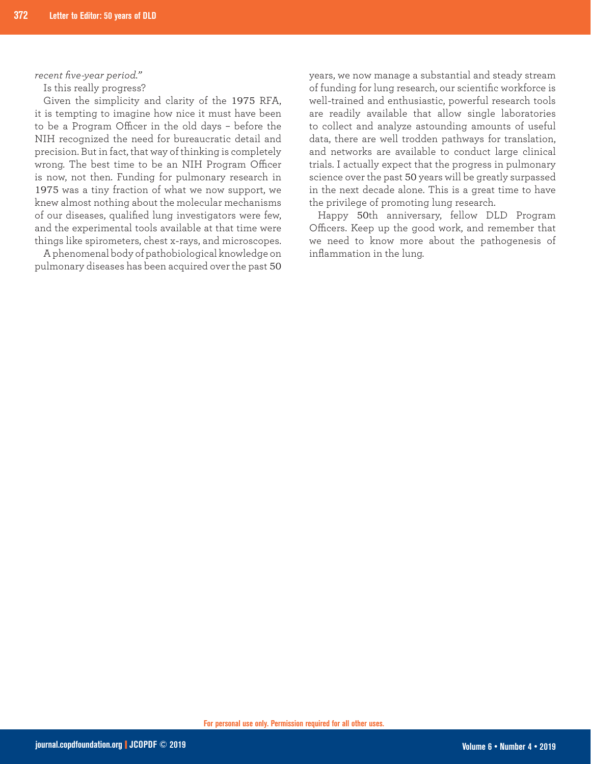*recent five-year period."*

Is this really progress?

Given the simplicity and clarity of the 1975 RFA, it is tempting to imagine how nice it must have been to be a Program Officer in the old days – before the NIH recognized the need for bureaucratic detail and precision. But in fact, that way of thinking is completely wrong. The best time to be an NIH Program Officer is now, not then. Funding for pulmonary research in 1975 was a tiny fraction of what we now support, we knew almost nothing about the molecular mechanisms of our diseases, qualified lung investigators were few, and the experimental tools available at that time were things like spirometers, chest x-rays, and microscopes.

A phenomenal body of pathobiological knowledge on pulmonary diseases has been acquired over the past 50

years, we now manage a substantial and steady stream of funding for lung research, our scientific workforce is well-trained and enthusiastic, powerful research tools are readily available that allow single laboratories to collect and analyze astounding amounts of useful data, there are well trodden pathways for translation, and networks are available to conduct large clinical trials. I actually expect that the progress in pulmonary science over the past 50 years will be greatly surpassed in the next decade alone. This is a great time to have the privilege of promoting lung research.

Happy 50th anniversary, fellow DLD Program Officers. Keep up the good work, and remember that we need to know more about the pathogenesis of inflammation in the lung.